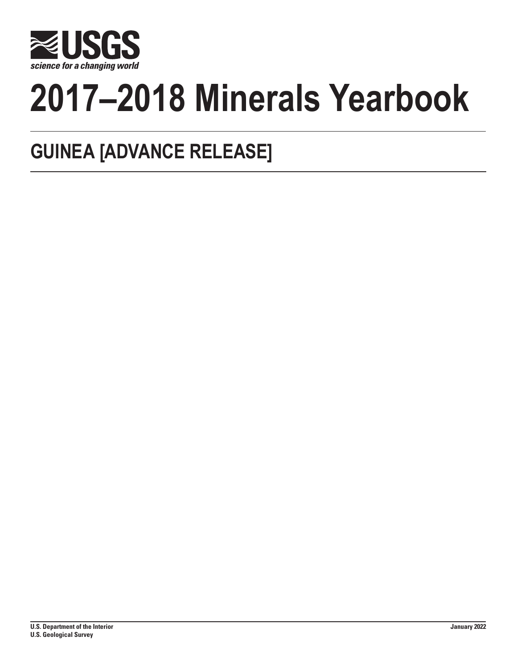

# **2017–2018 Minerals Yearbook**

## **GUINEA [ADVANCE RELEASE]**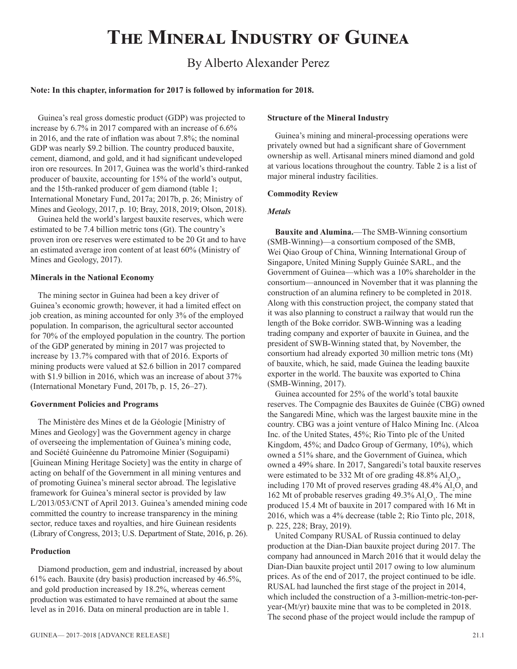## **The Mineral Industry of Guinea**

### By Alberto Alexander Perez

#### **Note: In this chapter, information for 2017 is followed by information for 2018.**

Guinea's real gross domestic product (GDP) was projected to increase by 6.7% in 2017 compared with an increase of 6.6% in 2016, and the rate of inflation was about 7.8%; the nominal GDP was nearly \$9.2 billion. The country produced bauxite, cement, diamond, and gold, and it had significant undeveloped iron ore resources. In 2017, Guinea was the world's third-ranked producer of bauxite, accounting for 15% of the world's output, and the 15th-ranked producer of gem diamond (table 1; International Monetary Fund, 2017a; 2017b, p. 26; Ministry of Mines and Geology, 2017, p. 10; Bray, 2018, 2019; Olson, 2018).

Guinea held the world's largest bauxite reserves, which were estimated to be 7.4 billion metric tons (Gt). The country's proven iron ore reserves were estimated to be 20 Gt and to have an estimated average iron content of at least 60% (Ministry of Mines and Geology, 2017).

#### **Minerals in the National Economy**

The mining sector in Guinea had been a key driver of Guinea's economic growth; however, it had a limited effect on job creation, as mining accounted for only 3% of the employed population. In comparison, the agricultural sector accounted for 70% of the employed population in the country. The portion of the GDP generated by mining in 2017 was projected to increase by 13.7% compared with that of 2016. Exports of mining products were valued at \$2.6 billion in 2017 compared with \$1.9 billion in 2016, which was an increase of about 37% (International Monetary Fund, 2017b, p. 15, 26–27).

#### **Government Policies and Programs**

The Ministère des Mines et de la Géologie [Ministry of Mines and Geology] was the Government agency in charge of overseeing the implementation of Guinea's mining code, and Société Guinéenne du Patromoine Minier (Soguipami) [Guinean Mining Heritage Society] was the entity in charge of acting on behalf of the Government in all mining ventures and of promoting Guinea's mineral sector abroad. The legislative framework for Guinea's mineral sector is provided by law L/2013/053/CNT of April 2013. Guinea's amended mining code committed the country to increase transparency in the mining sector, reduce taxes and royalties, and hire Guinean residents (Library of Congress, 2013; U.S. Department of State, 2016, p. 26).

#### **Production**

Diamond production, gem and industrial, increased by about 61% each. Bauxite (dry basis) production increased by 46.5%, and gold production increased by 18.2%, whereas cement production was estimated to have remained at about the same level as in 2016. Data on mineral production are in table 1.

#### **Structure of the Mineral Industry**

Guinea's mining and mineral-processing operations were privately owned but had a significant share of Government ownership as well. Artisanal miners mined diamond and gold at various locations throughout the country. Table 2 is a list of major mineral industry facilities.

#### **Commodity Review**

#### *Metals*

**Bauxite and Alumina.**—The SMB-Winning consortium (SMB-Winning)—a consortium composed of the SMB, Wei Qiao Group of China, Winning International Group of Singapore, United Mining Supply Guinée SARL, and the Government of Guinea—which was a 10% shareholder in the consortium—announced in November that it was planning the construction of an alumina refinery to be completed in 2018. Along with this construction project, the company stated that it was also planning to construct a railway that would run the length of the Boke corridor. SWB-Winning was a leading trading company and exporter of bauxite in Guinea, and the president of SWB-Winning stated that, by November, the consortium had already exported 30 million metric tons (Mt) of bauxite, which, he said, made Guinea the leading bauxite exporter in the world. The bauxite was exported to China (SMB-Winning, 2017).

Guinea accounted for 25% of the world's total bauxite reserves. The Compagnie des Bauxites de Guinée (CBG) owned the Sangaredi Mine, which was the largest bauxite mine in the country. CBG was a joint venture of Halco Mining Inc. (Alcoa Inc. of the United States, 45%; Rio Tinto plc of the United Kingdom, 45%; and Dadco Group of Germany, 10%), which owned a 51% share, and the Government of Guinea, which owned a 49% share. In 2017, Sangaredi's total bauxite reserves were estimated to be 332 Mt of ore grading  $48.8\%$  Al<sub>2</sub>O<sub>3</sub>, including 170 Mt of proved reserves grading  $48.4\%$   $\text{Al}_2\text{O}_3$  and 162 Mt of probable reserves grading 49.3%  $Al_2O_3$ . The mine produced 15.4 Mt of bauxite in 2017 compared with 16 Mt in 2016, which was a 4% decrease (table 2; Rio Tinto plc, 2018, p. 225, 228; Bray, 2019).

United Company RUSAL of Russia continued to delay production at the Dian-Dian bauxite project during 2017. The company had announced in March 2016 that it would delay the Dian-Dian bauxite project until 2017 owing to low aluminum prices. As of the end of 2017, the project continued to be idle. RUSAL had launched the first stage of the project in 2014, which included the construction of a 3-million-metric-ton-peryear-(Mt/yr) bauxite mine that was to be completed in 2018. The second phase of the project would include the rampup of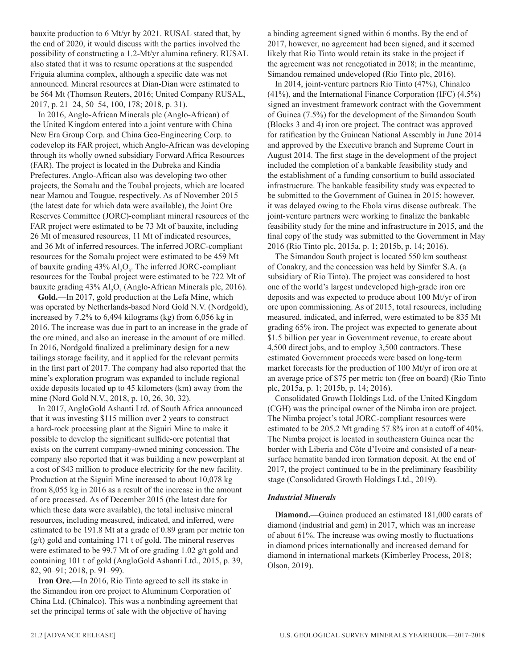bauxite production to 6 Mt/yr by 2021. RUSAL stated that, by the end of 2020, it would discuss with the parties involved the possibility of constructing a 1.2-Mt/yr alumina refinery. RUSAL also stated that it was to resume operations at the suspended Friguia alumina complex, although a specific date was not announced. Mineral resources at Dian-Dian were estimated to be 564 Mt (Thomson Reuters, 2016; United Company RUSAL, 2017, p. 21–24, 50–54, 100, 178; 2018, p. 31).

In 2016, Anglo-African Minerals plc (Anglo-African) of the United Kingdom entered into a joint venture with China New Era Group Corp. and China Geo-Engineering Corp. to codevelop its FAR project, which Anglo-African was developing through its wholly owned subsidiary Forward Africa Resources (FAR). The project is located in the Dubreka and Kindia Prefectures. Anglo-African also was developing two other projects, the Somalu and the Toubal projects, which are located near Mamou and Tougue, respectively. As of November 2015 (the latest date for which data were available), the Joint Ore Reserves Committee (JORC)-compliant mineral resources of the FAR project were estimated to be 73 Mt of bauxite, including 26 Mt of measured resources, 11 Mt of indicated resources, and 36 Mt of inferred resources. The inferred JORC-compliant resources for the Somalu project were estimated to be 459 Mt of bauxite grading  $43\%$   $Al_2O_3$ . The inferred JORC-compliant resources for the Toubal project were estimated to be 722 Mt of bauxite grading  $43\%$   $\mathrm{Al}_2\mathrm{O}_3$  (Anglo-African Minerals plc, 2016).

**Gold.**—In 2017, gold production at the Lefa Mine, which was operated by Netherlands-based Nord Gold N.V. (Nordgold), increased by 7.2% to 6,494 kilograms (kg) from 6,056 kg in 2016. The increase was due in part to an increase in the grade of the ore mined, and also an increase in the amount of ore milled. In 2016, Nordgold finalized a preliminary design for a new tailings storage facility, and it applied for the relevant permits in the first part of 2017. The company had also reported that the mine's exploration program was expanded to include regional oxide deposits located up to 45 kilometers (km) away from the mine (Nord Gold N.V., 2018, p. 10, 26, 30, 32).

In 2017, AngloGold Ashanti Ltd. of South Africa announced that it was investing \$115 million over 2 years to construct a hard-rock processing plant at the Siguiri Mine to make it possible to develop the significant sulfide-ore potential that exists on the current company-owned mining concession. The company also reported that it was building a new powerplant at a cost of \$43 million to produce electricity for the new facility. Production at the Siguiri Mine increased to about 10,078 kg from 8,055 kg in 2016 as a result of the increase in the amount of ore processed. As of December 2015 (the latest date for which these data were available), the total inclusive mineral resources, including measured, indicated, and inferred, were estimated to be 191.8 Mt at a grade of 0.89 gram per metric ton (g/t) gold and containing 171 t of gold. The mineral reserves were estimated to be 99.7 Mt of ore grading 1.02 g/t gold and containing 101 t of gold (AngloGold Ashanti Ltd., 2015, p. 39, 82, 90–91; 2018, p. 91–99).

**Iron Ore.**—In 2016, Rio Tinto agreed to sell its stake in the Simandou iron ore project to Aluminum Corporation of China Ltd. (Chinalco). This was a nonbinding agreement that set the principal terms of sale with the objective of having

a binding agreement signed within 6 months. By the end of 2017, however, no agreement had been signed, and it seemed likely that Rio Tinto would retain its stake in the project if the agreement was not renegotiated in 2018; in the meantime, Simandou remained undeveloped (Rio Tinto plc, 2016).

In 2014, joint-venture partners Rio Tinto (47%), Chinalco (41%), and the International Finance Corporation (IFC) (4.5%) signed an investment framework contract with the Government of Guinea (7.5%) for the development of the Simandou South (Blocks 3 and 4) iron ore project. The contract was approved for ratification by the Guinean National Assembly in June 2014 and approved by the Executive branch and Supreme Court in August 2014. The first stage in the development of the project included the completion of a bankable feasibility study and the establishment of a funding consortium to build associated infrastructure. The bankable feasibility study was expected to be submitted to the Government of Guinea in 2015; however, it was delayed owing to the Ebola virus disease outbreak. The joint-venture partners were working to finalize the bankable feasibility study for the mine and infrastructure in 2015, and the final copy of the study was submitted to the Government in May 2016 (Rio Tinto plc, 2015a, p. 1; 2015b, p. 14; 2016).

The Simandou South project is located 550 km southeast of Conakry, and the concession was held by Simfer S.A. (a subsidiary of Rio Tinto). The project was considered to host one of the world's largest undeveloped high-grade iron ore deposits and was expected to produce about 100 Mt/yr of iron ore upon commissioning. As of 2015, total resources, including measured, indicated, and inferred, were estimated to be 835 Mt grading 65% iron. The project was expected to generate about \$1.5 billion per year in Government revenue, to create about 4,500 direct jobs, and to employ 3,500 contractors. These estimated Government proceeds were based on long-term market forecasts for the production of 100 Mt/yr of iron ore at an average price of \$75 per metric ton (free on board) (Rio Tinto plc, 2015a, p. 1; 2015b, p. 14; 2016).

Consolidated Growth Holdings Ltd. of the United Kingdom (CGH) was the principal owner of the Nimba iron ore project. The Nimba project's total JORC-compliant resources were estimated to be 205.2 Mt grading 57.8% iron at a cutoff of 40%. The Nimba project is located in southeastern Guinea near the border with Liberia and Côte d'Ivoire and consisted of a nearsurface hematite banded iron formation deposit. At the end of 2017, the project continued to be in the preliminary feasibility stage (Consolidated Growth Holdings Ltd., 2019).

#### *Industrial Minerals*

**Diamond.**—Guinea produced an estimated 181,000 carats of diamond (industrial and gem) in 2017, which was an increase of about 61%. The increase was owing mostly to fluctuations in diamond prices internationally and increased demand for diamond in international markets (Kimberley Process, 2018; Olson, 2019).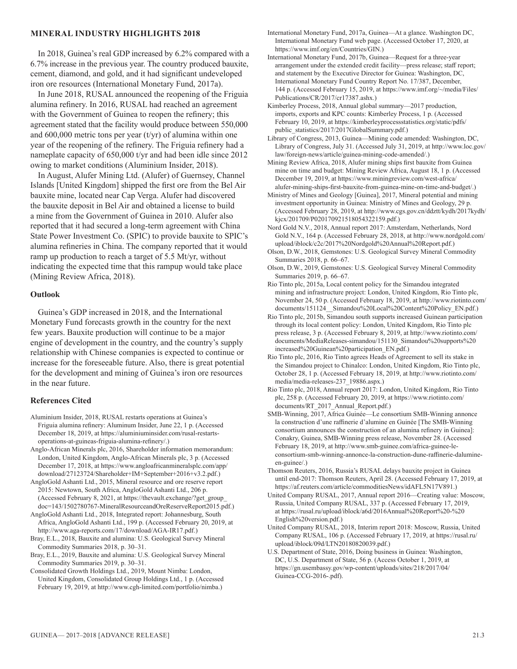#### **MINERAL INDUSTRY HIGHLIGHTS 2018**

In 2018, Guinea's real GDP increased by 6.2% compared with a 6.7% increase in the previous year. The country produced bauxite, cement, diamond, and gold, and it had significant undeveloped iron ore resources (International Monetary Fund, 2017a).

In June 2018, RUSAL announced the reopening of the Friguia alumina refinery. In 2016, RUSAL had reached an agreement with the Government of Guinea to reopen the refinery; this agreement stated that the facility would produce between 550,000 and 600,000 metric tons per year (t/yr) of alumina within one year of the reopening of the refinery. The Friguia refinery had a nameplate capacity of 650,000 t/yr and had been idle since 2012 owing to market conditions (Aluminium Insider, 2018).

In August, Alufer Mining Ltd. (Alufer) of Guernsey, Channel Islands [United Kingdom] shipped the first ore from the Bel Air bauxite mine, located near Cap Verga. Alufer had discovered the bauxite deposit in Bel Air and obtained a license to build a mine from the Government of Guinea in 2010. Alufer also reported that it had secured a long-term agreement with China State Power Investment Co. (SPIC) to provide bauxite to SPIC's alumina refineries in China. The company reported that it would ramp up production to reach a target of 5.5 Mt/yr, without indicating the expected time that this rampup would take place (Mining Review Africa, 2018).

#### **Outlook**

Guinea's GDP increased in 2018, and the International Monetary Fund forecasts growth in the country for the next few years. Bauxite production will continue to be a major engine of development in the country, and the country's supply relationship with Chinese companies is expected to continue or increase for the foreseeable future. Also, there is great potential for the development and mining of Guinea's iron ore resources in the near future.

#### **References Cited**

- Aluminium Insider, 2018, RUSAL restarts operations at Guinea's Friguia alumina refinery: Aluminum Insider, June 22, 1 p. (Accessed December 18, 2019, at https://aluminiuminsider.com/rusal-restartsoperations-at-guineas-friguia-alumina-refinery/.)
- Anglo-African Minerals plc, 2016, Shareholder information memorandum: London, United Kingdom, Anglo-African Minerals plc, 3 p. (Accessed December 17, 2018, at https://www.angloafricanmineralsplc.com/app/ download/27123724/Shareholder+IM+September+2016+v3.2.pdf.)
- AngloGold Ashanti Ltd., 2015, Mineral resource and ore reserve report 2015: Newtown, South Africa, AngloGold Ashanti Ltd., 206 p. (Accessed February 8, 2021, at https://thevault.exchange/?get\_group\_ doc=143/1502780767-MineralResourceandOreReserveReport2015.pdf.)

AngloGold Ashanti Ltd., 2018, Integrated report: Johannesburg, South Africa, AngloGold Ashanti Ltd., 199 p. (Accessed February 20, 2019, at http://www.aga-reports.com/17/download/AGA-IR17.pdf.)

Bray, E.L., 2018, Bauxite and alumina: U.S. Geological Survey Mineral Commodity Summaries 2018, p. 30–31.

Bray, E.L., 2019, Bauxite and alumina: U.S. Geological Survey Mineral Commodity Summaries 2019, p. 30–31.

Consolidated Growth Holdings Ltd., 2019, Mount Nimba: London, United Kingdom, Consolidated Group Holdings Ltd., 1 p. (Accessed February 19, 2019, at http://www.cgh-limited.com/portfolio/nimba.)

International Monetary Fund, 2017a, Guinea—At a glance. Washington DC, International Monetary Fund web page. (Accessed October 17, 2020, at https://www.imf.org/en/Countries/GIN.)

International Monetary Fund, 2017b, Guinea—Request for a three-year arrangement under the extended credit facility—press release; staff report; and statement by the Executive Director for Guinea: Washington, DC, International Monetary Fund Country Report No. 17/387, December, 144 p. (Accessed February 15, 2019, at https://www.imf.org/~/media/Files/ Publications/CR/2017/cr17387.ashx.)

Kimberley Process, 2018, Annual global summary—2017 production, imports, exports and KPC counts: Kimberley Process, 1 p. (Accessed February 10, 2019, at https://kimberleyprocessstatistics.org/static/pdfs/ public\_statistics/2017/2017GlobalSummary.pdf.)

Library of Congress, 2013, Guinea—Mining code amended: Washington, DC, Library of Congress, July 31. (Accessed July 31, 2019, at http://www.loc.gov/ law/foreign-news/article/guinea-mining-code-amended/.)

Mining Review Africa, 2018, Alufer mining ships first bauxite from Guinea mine on time and budget: Mining Review Africa, August 18, 1 p. (Accessed December 19, 2019, at https://www.miningreview.com/west-africa/ alufer-mining-ships-first-bauxite-from-guinea-mine-on-time-and-budget/.)

Ministry of Mines and Geology [Guinea], 2017, Mineral potential and mining investment opportunity in Guinea: Ministry of Mines and Geology, 29 p. (Accessed February 28, 2019, at http://www.cgs.gov.cn/ddztt/kydh/2017kydh/ kjcx/201709/P020170921518054322159.pdf.)

Nord Gold N.V., 2018, Annual report 2017: Amsterdam, Netherlands, Nord Gold N.V., 164 p. (Accessed February 28, 2018, at http://www.nordgold.com/ upload/iblock/c2c/2017%20Nordgold%20Annual%20Report.pdf.)

Olson, D.W., 2018, Gemstones: U.S. Geological Survey Mineral Commodity Summaries 2018, p. 66–67.

Olson, D.W., 2019, Gemstones: U.S. Geological Survey Mineral Commodity Summaries 2019, p. 66–67.

Rio Tinto plc, 2015a, Local content policy for the Simandou integrated mining and infrastructure project: London, United Kingdom, Rio Tinto plc, November 24, 50 p. (Accessed February 18, 2019, at http://www.riotinto.com/ documents/151124 Simandou%20Local%20Content%20Policy EN.pdf.)

Rio Tinto plc, 2015b, Simandou south supports increased Guinean participation through its local content policy: London, United Kingdom, Rio Tinto plc press release, 3 p. (Accessed February 8, 2019, at http://www.riotinto.com/ documents/MediaReleases-simandou/151130\_Simandou%20supports%20 increased%20Guinean%20participation\_EN.pdf.)

Rio Tinto plc, 2016, Rio Tinto agrees Heads of Agreement to sell its stake in the Simandou project to Chinalco: London, United Kingdom, Rio Tinto plc, October 28, 1 p. (Accessed February 18, 2019, at http://www.riotinto.com/ media/media-releases-237\_19886.aspx.)

Rio Tinto plc, 2018, Annual report 2017: London, United Kingdom, Rio Tinto plc, 258 p. (Accessed February 20, 2019, at https://www.riotinto.com/ documents/RT\_2017\_Annual\_Report.pdf.)

SMB-Winning, 2017, Africa Guinée—Le consortium SMB-Winning annonce la construction d'une raffinerie d'alumine en Guinée [The SMB-Winning consortium announces the construction of an alumina refinery in Guinea]: Conakry, Guinea, SMB-Winning press release, November 28. (Accessed February 18, 2019, at http://www.smb-guinee.com/africa-guinee-leconsortium-smb-winning-annonce-la-construction-dune-raffinerie-dalumineen-guinee/.)

Thomson Reuters, 2016, Russia's RUSAL delays bauxite project in Guinea until end-2017: Thomson Reuters, April 28. (Accessed February 17, 2019, at https://af.reuters.com/article/commoditiesNews/idAFL5N17V891.)

United Company RUSAL, 2017, Annual report 2016—Creating value: Moscow, Russia, United Company RUSAL, 337 p. (Accessed February 17, 2019, at https://rusal.ru/upload/iblock/a6d/2016Annual%20Report%20-%20 English%20version.pdf.)

United Company RUSAL, 2018, Interim report 2018: Moscow, Russia, United Company RUSAL, 106 p. (Accessed February 17, 2019, at https://rusal.ru/ upload/iblock/09d/LTN20180820039.pdf.)

U.S. Department of State, 2016, Doing business in Guinea: Washington, DC, U.S. Department of State, 56 p. (Access October 1, 2019, at https://gn.usembassy.gov/wp-content/uploads/sites/218/2017/04/ Guinea-CCG-2016-.pdf).